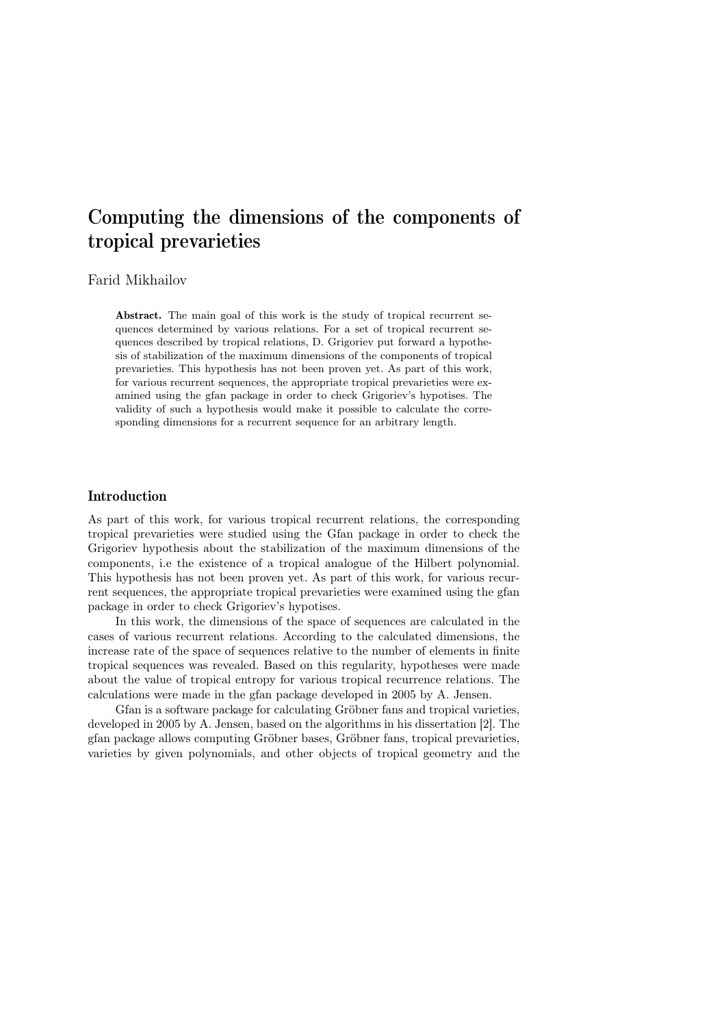# Computing the dimensions of the components of tropical prevarieties

## Farid Mikhailov

Abstract. The main goal of this work is the study of tropical recurrent sequences determined by various relations. For a set of tropical recurrent sequences described by tropical relations, D. Grigoriev put forward a hypothesis of stabilization of the maximum dimensions of the components of tropical prevarieties. This hypothesis has not been proven yet. As part of this work, for various recurrent sequences, the appropriate tropical prevarieties were examined using the gfan package in order to check Grigoriev's hypotises. The validity of such a hypothesis would make it possible to calculate the corresponding dimensions for a recurrent sequence for an arbitrary length.

### Introduction

As part of this work, for various tropical recurrent relations, the corresponding tropical prevarieties were studied using the Gfan package in order to check the Grigoriev hypothesis about the stabilization of the maximum dimensions of the components, i.e the existence of a tropical analogue of the Hilbert polynomial. This hypothesis has not been proven yet. As part of this work, for various recurrent sequences, the appropriate tropical prevarieties were examined using the gfan package in order to check Grigoriev's hypotises.

In this work, the dimensions of the space of sequences are calculated in the cases of various recurrent relations. According to the calculated dimensions, the increase rate of the space of sequences relative to the number of elements in finite tropical sequences was revealed. Based on this regularity, hypotheses were made about the value of tropical entropy for various tropical recurrence relations. The calculations were made in the gfan package developed in 2005 by A. Jensen.

Gfan is a software package for calculating Gröbner fans and tropical varieties, developed in 2005 by A. Jensen, based on the algorithms in his dissertation [2]. The gfan package allows computing Gröbner bases, Gröbner fans, tropical prevarieties, varieties by given polynomials, and other objects of tropical geometry and the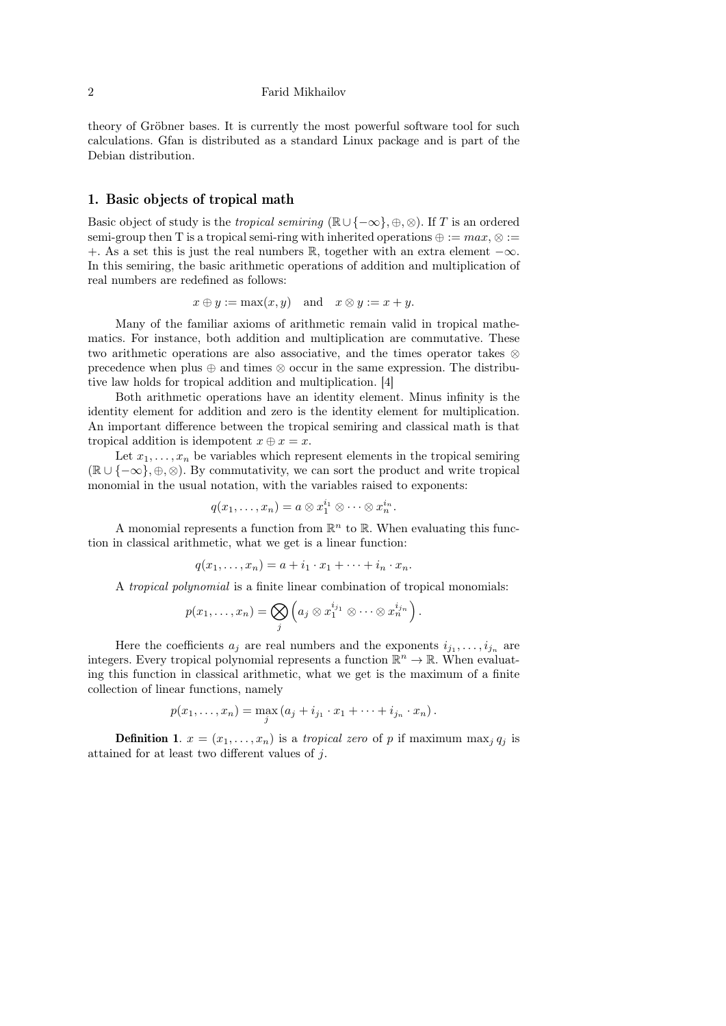#### 2 Farid Mikhailov

theory of Gröbner bases. It is currently the most powerful software tool for such calculations. Gfan is distributed as a standard Linux package and is part of the Debian distribution.

## 1. Basic objects of tropical math

Basic object of study is the *tropical semiring* ( $\mathbb{R} \cup \{-\infty\}, \oplus, \otimes$ ). If T is an ordered semi-group then T is a tropical semi-ring with inherited operations  $\oplus := max, \otimes :=$ +. As a set this is just the real numbers R, together with an extra element  $-\infty$ . In this semiring, the basic arithmetic operations of addition and multiplication of real numbers are redefined as follows:

$$
x \oplus y := \max(x, y)
$$
 and  $x \otimes y := x + y$ .

Many of the familiar axioms of arithmetic remain valid in tropical mathematics. For instance, both addition and multiplication are commutative. These two arithmetic operations are also associative, and the times operator takes ⊗ precedence when plus ⊕ and times ⊗ occur in the same expression. The distributive law holds for tropical addition and multiplication. [4]

Both arithmetic operations have an identity element. Minus infinity is the identity element for addition and zero is the identity element for multiplication. An important difference between the tropical semiring and classical math is that tropical addition is idempotent  $x \oplus x = x$ .

Let  $x_1, \ldots, x_n$  be variables which represent elements in the tropical semiring  $(\mathbb{R} \cup \{-\infty\}, \oplus, \otimes)$ . By commutativity, we can sort the product and write tropical monomial in the usual notation, with the variables raised to exponents:

$$
q(x_1,\ldots,x_n)=a\otimes x_1^{i_1}\otimes\cdots\otimes x_n^{i_n}.
$$

A monomial represents a function from  $\mathbb{R}^n$  to  $\mathbb{R}$ . When evaluating this function in classical arithmetic, what we get is a linear function:

$$
q(x_1,\ldots,x_n)=a+i_1\cdot x_1+\cdots+i_n\cdot x_n.
$$

A tropical polynomial is a finite linear combination of tropical monomials:

$$
p(x_1,\ldots,x_n)=\bigotimes_j \left(a_j\otimes x_1^{i_{j_1}}\otimes\cdots\otimes x_n^{i_{j_n}}\right).
$$

Here the coefficients  $a_j$  are real numbers and the exponents  $i_{j_1}, \ldots, i_{j_n}$  are integers. Every tropical polynomial represents a function  $\mathbb{R}^n \to \mathbb{R}$ . When evaluating this function in classical arithmetic, what we get is the maximum of a finite collection of linear functions, namely

$$
p(x_1,...,x_n) = \max_j (a_j + i_{j_1} \cdot x_1 + \cdots + i_{j_n} \cdot x_n).
$$

**Definition 1.**  $x = (x_1, \ldots, x_n)$  is a *tropical zero* of p if maximum max<sub>j</sub>  $q_j$  is attained for at least two different values of j.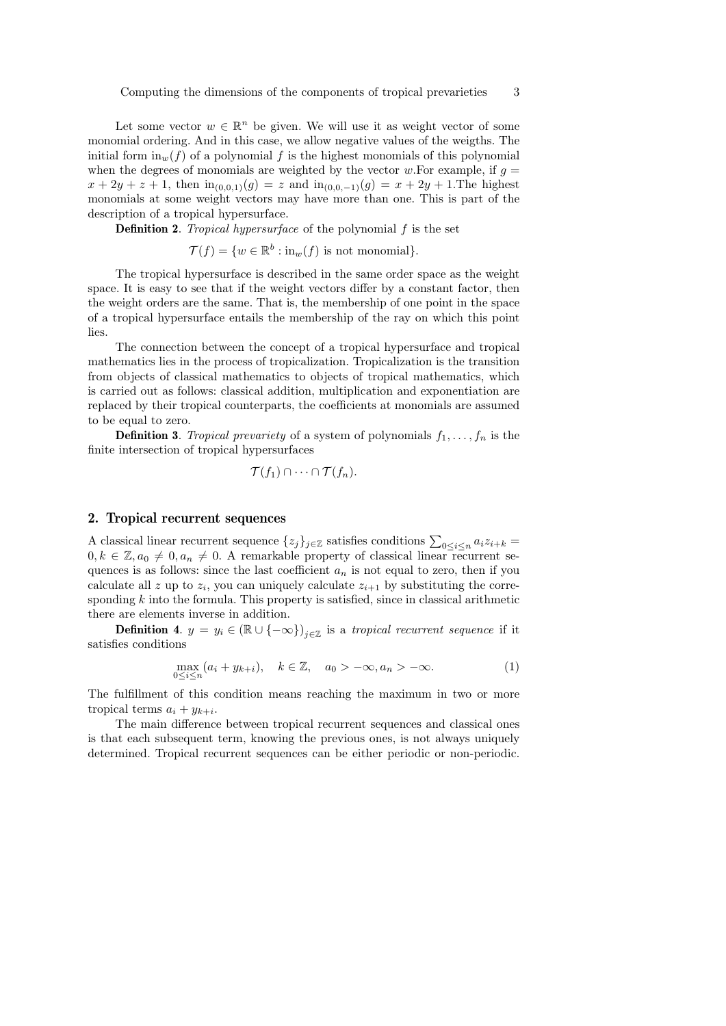Let some vector  $w \in \mathbb{R}^n$  be given. We will use it as weight vector of some monomial ordering. And in this case, we allow negative values of the weigths. The initial form  $\text{in}_{w}(f)$  of a polynomial f is the highest monomials of this polynomial when the degrees of monomials are weighted by the vector w.For example, if  $q =$  $x + 2y + z + 1$ , then  $\text{in}_{(0,0,1)}(g) = z$  and  $\text{in}_{(0,0,-1)}(g) = x + 2y + 1$ . The highest monomials at some weight vectors may have more than one. This is part of the description of a tropical hypersurface.

**Definition 2.** Tropical hypersurface of the polynomial  $f$  is the set

 $\mathcal{T}(f) = \{w \in \mathbb{R}^b : \text{in}_w(f) \text{ is not monomial}\}.$ 

The tropical hypersurface is described in the same order space as the weight space. It is easy to see that if the weight vectors differ by a constant factor, then the weight orders are the same. That is, the membership of one point in the space of a tropical hypersurface entails the membership of the ray on which this point lies.

The connection between the concept of a tropical hypersurface and tropical mathematics lies in the process of tropicalization. Tropicalization is the transition from objects of classical mathematics to objects of tropical mathematics, which is carried out as follows: classical addition, multiplication and exponentiation are replaced by their tropical counterparts, the coefficients at monomials are assumed to be equal to zero.

**Definition 3.** Tropical prevariety of a system of polynomials  $f_1, \ldots, f_n$  is the finite intersection of tropical hypersurfaces

$$
\mathcal{T}(f_1)\cap\cdots\cap\mathcal{T}(f_n).
$$

#### 2. Tropical recurrent sequences

A classical linear recurrent sequence  $\{z_j\}_{j\in\mathbb{Z}}$  satisfies conditions  $\sum_{0\leq i\leq n}a_iz_{i+k}=$  $0, k \in \mathbb{Z}, a_0 \neq 0, a_n \neq 0$ . A remarkable property of classical linear recurrent sequences is as follows: since the last coefficient  $a_n$  is not equal to zero, then if you calculate all z up to  $z_i$ , you can uniquely calculate  $z_{i+1}$  by substituting the corresponding  $k$  into the formula. This property is satisfied, since in classical arithmetic there are elements inverse in addition.

**Definition 4.**  $y = y_i \in (\mathbb{R} \cup \{-\infty\})_{i \in \mathbb{Z}}$  is a tropical recurrent sequence if it satisfies conditions

$$
\max_{0 \le i \le n} (a_i + y_{k+i}), \quad k \in \mathbb{Z}, \quad a_0 > -\infty, a_n > -\infty.
$$
 (1)

The fulfillment of this condition means reaching the maximum in two or more tropical terms  $a_i + y_{k+i}$ .

The main difference between tropical recurrent sequences and classical ones is that each subsequent term, knowing the previous ones, is not always uniquely determined. Tropical recurrent sequences can be either periodic or non-periodic.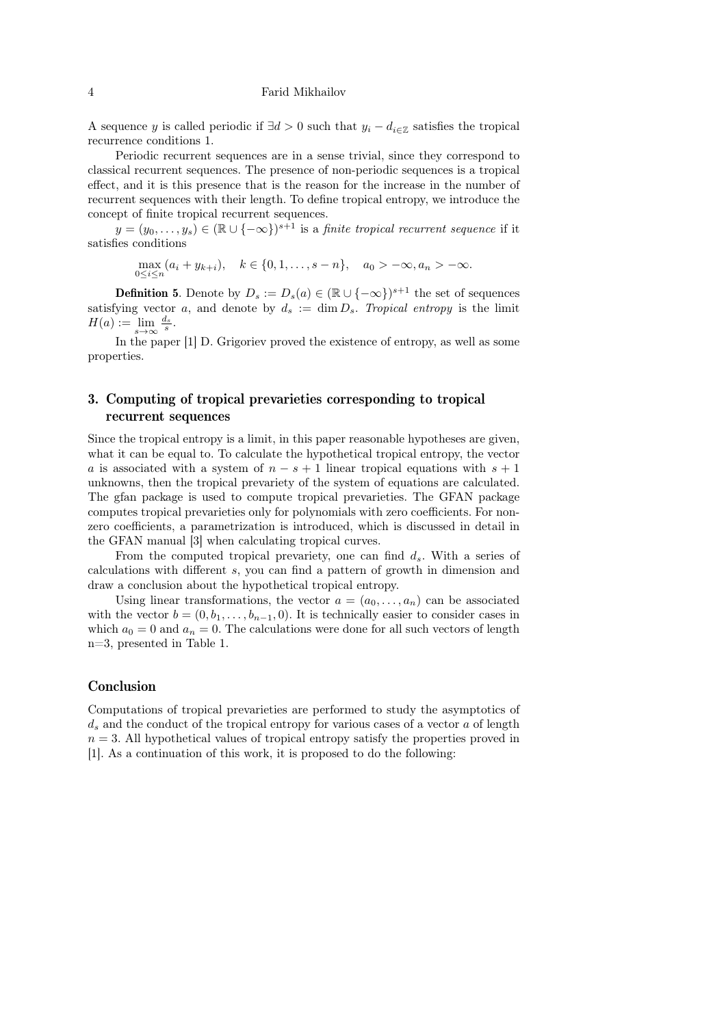#### 4 Farid Mikhailov

A sequence y is called periodic if  $\exists d > 0$  such that  $y_i - d_{i \in \mathbb{Z}}$  satisfies the tropical recurrence conditions 1.

Periodic recurrent sequences are in a sense trivial, since they correspond to classical recurrent sequences. The presence of non-periodic sequences is a tropical effect, and it is this presence that is the reason for the increase in the number of recurrent sequences with their length. To define tropical entropy, we introduce the concept of finite tropical recurrent sequences.

 $y = (y_0, \ldots, y_s) \in (\mathbb{R} \cup \{-\infty\})^{s+1}$  is a *finite tropical recurrent sequence* if it satisfies conditions

 $\max_{0 \le i \le n} (a_i + y_{k+i}), \quad k \in \{0, 1, \ldots, s-n\}, \quad a_0 > -\infty, a_n > -\infty.$ 

**Definition 5.** Denote by  $D_s := D_s(a) \in (\mathbb{R} \cup \{-\infty\})^{s+1}$  the set of sequences satisfying vector a, and denote by  $d_s := \dim D_s$ . Tropical entropy is the limit  $H(a) := \lim_{s \to \infty} \frac{d_s}{s}.$ 

In the paper [1] D. Grigoriev proved the existence of entropy, as well as some properties.

# 3. Computing of tropical prevarieties corresponding to tropical recurrent sequences

Since the tropical entropy is a limit, in this paper reasonable hypotheses are given, what it can be equal to. To calculate the hypothetical tropical entropy, the vector a is associated with a system of  $n - s + 1$  linear tropical equations with  $s + 1$ unknowns, then the tropical prevariety of the system of equations are calculated. The gfan package is used to compute tropical prevarieties. The GFAN package computes tropical prevarieties only for polynomials with zero coefficients. For nonzero coefficients, a parametrization is introduced, which is discussed in detail in the GFAN manual [3] when calculating tropical curves.

From the computed tropical prevariety, one can find  $d_s$ . With a series of calculations with different s, you can find a pattern of growth in dimension and draw a conclusion about the hypothetical tropical entropy.

Using linear transformations, the vector  $a = (a_0, \ldots, a_n)$  can be associated with the vector  $b = (0, b_1, \ldots, b_{n-1}, 0)$ . It is technically easier to consider cases in which  $a_0 = 0$  and  $a_n = 0$ . The calculations were done for all such vectors of length n=3, presented in Table 1.

## Conclusion

Computations of tropical prevarieties are performed to study the asymptotics of  $d_s$  and the conduct of the tropical entropy for various cases of a vector a of length  $n = 3$ . All hypothetical values of tropical entropy satisfy the properties proved in [1]. As a continuation of this work, it is proposed to do the following: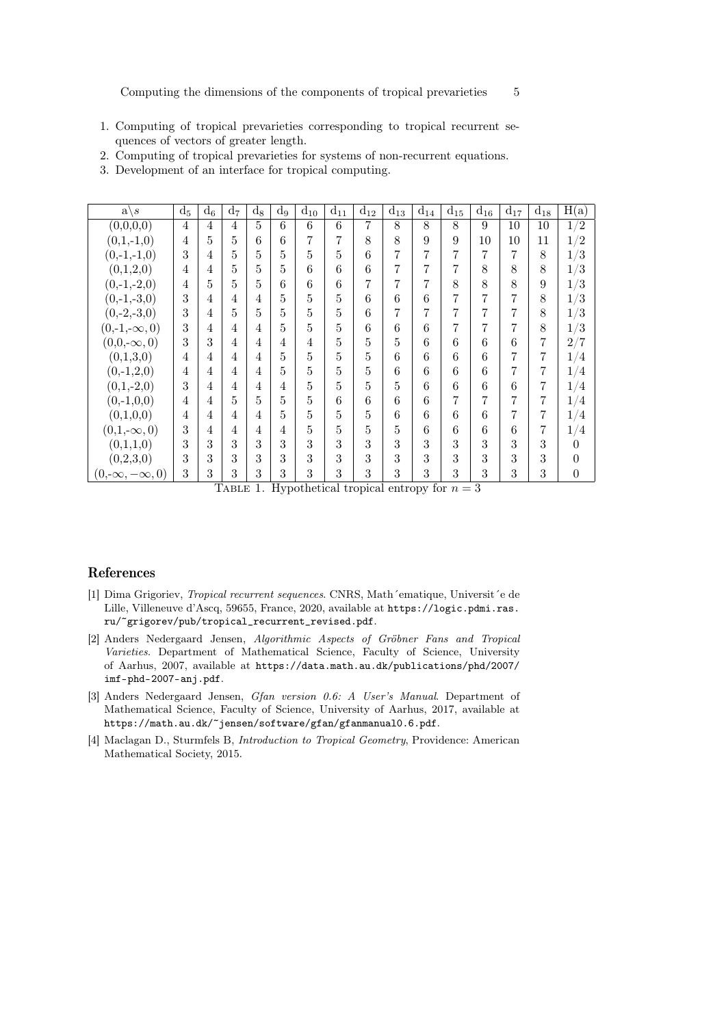- 1. Computing of tropical prevarieties corresponding to tropical recurrent sequences of vectors of greater length.
- 2. Computing of tropical prevarieties for systems of non-recurrent equations.
- 3. Development of an interface for tropical computing.

| a'<br>$\overline{s}$    | $d_5$ | $d_6$ | $d_7$ | $d_8$ | $\mathrm{d}_{9}$ | $d_{10}$ | $d_{11}$ | $d_{12}$ | $d_{13}$ | $d_{14}$ | $d_{15}$ | $d_{16}$ | $d_{17}$ | $\bar{d}_{18}$ | $\overline{H}(a)$                |
|-------------------------|-------|-------|-------|-------|------------------|----------|----------|----------|----------|----------|----------|----------|----------|----------------|----------------------------------|
| (0,0,0,0)               | 4     | 4     | 4     | 5     | 6                | 6        | 6        | 7        | 8        | 8        | 8        | 9        | 10       | 10             | $\sqrt{2}$<br>$\mathbf{1}$       |
| $(0,1,-1,0)$            | 4     | 5     | 5     | 6     | 6                |          | 7        | 8        | 8        | 9        | 9        | 10       | 10       | 11             | $\sqrt{2}$<br>$\mathbf{1}$       |
| $(0,-1,-1,0)$           | 3     | 4     | 5     | 5     | 5                | 5        | 5        | 6        | 7        | 7        | 7        | 7        | 7        | 8              | /3<br>$1\,$                      |
| (0,1,2,0)               | 4     | 4     | 5     | 5     | 5                | 6        | 6        | 6        | 7        | 7        | 7        | 8        | 8        | 8              | /3<br>1                          |
| $(0,-1,-2,0)$           | 4     | 5     | 5     | 5     | 6                | 6        | 6        | 7        | 7        | 7        | 8        | 8        | 8        | 9              | /3<br>$\mathbf{1}$               |
| $(0,-1,-3,0)$           | 3     | 4     | 4     | 4     | 5                | 5        | 5        | 6        | 6        | 6        | 7        | 7        | 7        | 8              | $\sqrt{3}$<br>1                  |
| $(0,-2,-3,0)$           | 3     | 4     | 5     | 5     | 5                | 5        | 5        | 6        | 7        | 7        | 7        | 7        | 7        | 8              | $^{\prime}3$<br>1                |
| $(0,-1,-\infty,0)$      | 3     | 4     | 4     | 4     | 5                | 5        | 5        | 6        | 6        | 6        | 7        | 7        | 7        | 8              | /3<br>$\mathbf{1}$               |
| $(0,0,-\infty,0)$       | 3     | 3     | 4     | 4     | 4                | 4        | 5        | 5        | 5        | 6        | 6        | 6        | 6        | 7              | 2/7                              |
| (0,1,3,0)               | 4     | 4     | 4     | 4     | 5                | 5        | 5        | 5        | 6        | 6        | 6        | 6        |          | 7              | 1<br>$\frac{4}{4}$               |
| $(0,-1,2,0)$            | 4     | 4     | 4     | 4     | 5                | 5        | 5        | 5        | 6        | 6        | 6        | 6        | 7        | 7              | 1,<br>4                          |
| $(0,1,-2,0)$            | 3     | 4     | 4     | 4     | 4                | 5        | 5        | 5        | 5        | 6        | 6        | 6        | 6        | 7              | 1<br>$\frac{4}{4}$               |
| $(0,-1,0,0)$            | 4     | 4     | 5     | 5     | 5                | 5        | 6        | 6        | 6        | 6        | 7        | 7        | 7        | 7              | $\mathbf{1}$<br>$\frac{4}{4}$    |
| (0,1,0,0)               | 4     | 4     | 4     | 4     | 5                | 5        | 5        | 5        | 6        | 6        | 6        | 6        | 7        | 7              | $1\overline{ }$<br>$\frac{4}{4}$ |
| $(0,1,-\infty,0)$       | 3     | 4     | 4     | 4     | 4                | 5        | 5        | 5        | 5        | 6        | 6        | 6        | 6        | 7              | $\sqrt{4}$<br>$\mathbf{1}$       |
| (0,1,1,0)               | 3     | 3     | 3     | 3     | 3                | 3        | 3        | 3        | 3        | 3        | 3        | 3        | 3        | 3              | 0                                |
| (0,2,3,0)               | 3     | 3     | 3     | 3     | 3                | 3        | 3        | 3        | 3        | 3        | 3        | 3        | 3        | 3              | $\theta$                         |
| $(0,-\infty,-\infty,0)$ | 3     | 3     | 3     | 3     | 3                | 3        | 3        | 3        | 3        | 3        | 3        | 3        | 3        | 3              | 0                                |

TABLE 1. Hypothetical tropical entropy for  $n = 3$ 

## References

- [1] Dima Grigoriev, Tropical recurrent sequences. CNRS, Math´ematique, Universit´e de Lille, Villeneuve d'Ascq, 59655, France, 2020, available at https://logic.pdmi.ras. ru/~grigorev/pub/tropical\_recurrent\_revised.pdf.
- [2] Anders Nedergaard Jensen, Algorithmic Aspects of Gröbner Fans and Tropical Varieties. Department of Mathematical Science, Faculty of Science, University of Aarhus, 2007, available at https://data.math.au.dk/publications/phd/2007/ imf-phd-2007-anj.pdf.
- [3] Anders Nedergaard Jensen, Gfan version 0.6: A User's Manual. Department of Mathematical Science, Faculty of Science, University of Aarhus, 2017, available at https://math.au.dk/~jensen/software/gfan/gfanmanual0.6.pdf.
- [4] Maclagan D., Sturmfels B, Introduction to Tropical Geometry, Providence: American Mathematical Society, 2015.